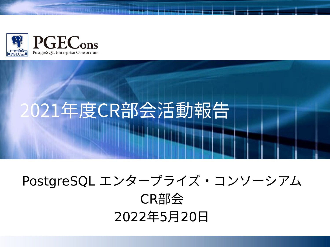

# 2021年度CR部会活動報告

### PostgreSQL エンタープライズ・コンソーシアム CR部会 2022年5月20日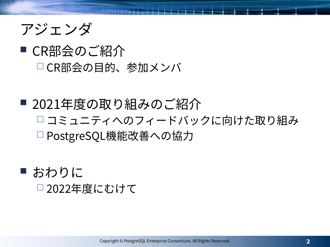

#### ■ CR部会のご紹介 CR部会の目的、参加メンバ

#### ■ 2021年度の取り組みのご紹介 コミュニティへのフィードバックに向けた取り組み □ PostgreSQL機能改善への協力

■ おわりに □2022年度にむけて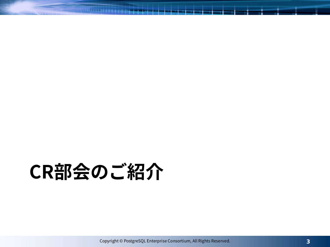# **CR部会のご紹介**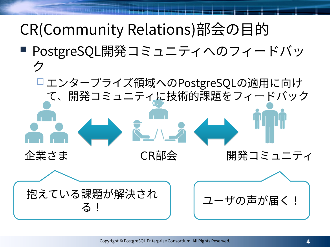# CR(Community Relations)部会の目的

■ PostgreSQL開発コミュニティへのフィードバッ ク

 エンタープライズ領域へのPostgreSQLの適用に向け て、開発コミュニティに技術的課題をフィードバック

企業さま CR部会 開発コミュニティ 抱えている課題が解決され る! ユーザの声が届く!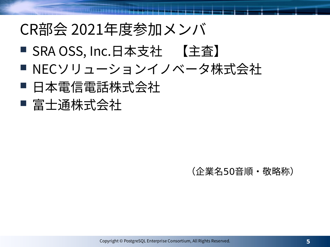## CR部会 2021年度参加メンバ

- SRA OSS, Inc.日本支社 【主査】
- NECソリューションイノベータ株式会社
- 日本電信電話株式会社
- 富士通株式会社

#### (企業名50音順・敬略称)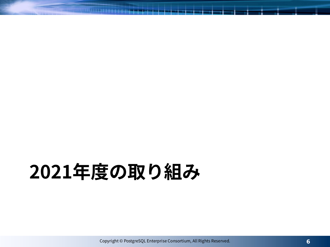# **2021年度の取り組み**

Copyright © PostgreSQL Enterprise Consortium, All Rights Reserved.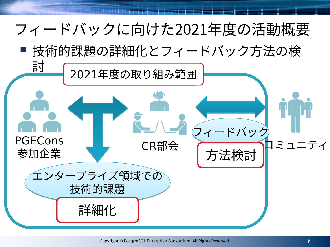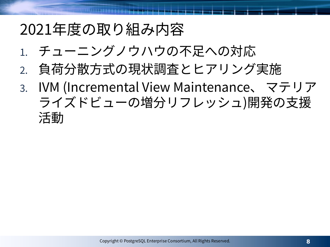### 2021年度の取り組み内容

- 1. チューニングノウハウの不足への対応
- 2. 負荷分散方式の現状調査とヒアリング実施
- 3. IVM (Incremental View Maintenance、 マテリア ライズドビューの増分リフレッシュ)開発の支援 活動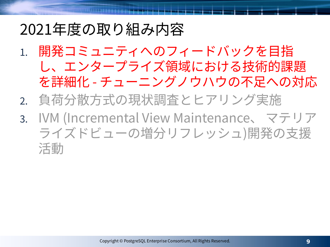### 2021年度の取り組み内容

- 1. 開発コミュニティへのフィードバックを目指 し、エンタープライズ領域における技術的課題 を詳細化 - チューニングノウハウの不足への対応
- 2. 負荷分散方式の現状調査とヒアリング実施
- 3. IVM (Incremental View Maintenance、 マテリア ライズドビューの増分リフレッシュ)開発の支援 活動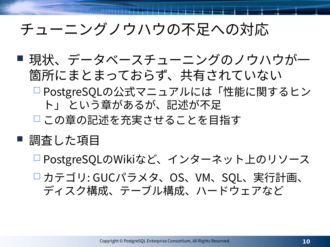## チューニングノウハウの不足への対応

■ 現状、データベースチューニングのノウハウが一 箇所にまとまっておらず、共有されていない PostgreSQLの公式マニュアルには「性能に関するヒン ト」 という章があるが、記述が不足 この章の記述を充実させることを目指す

#### ■ 調査した項目

- □PostgreSQLのWikiなど、インターネット上のリソース
- カテゴリ: GUCパラメタ、OS、VM、SQL、実行計画、 ディスク構成、テーブル構成、ハードウェアなど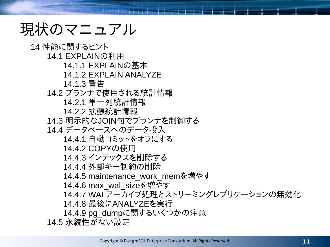## 現状のマニュアル

14 性能に関するヒント 14.1 EXPLAINの利用 14.1.1 EXPLAINの基本 14.1.2 EXPLAIN ANALYZE 14.1.3 警告 14.2 プランナで使用される統計情報 14.2.1 単一列統計情報 14.2.2 拡張統計情報 14.3 明示的なJOIN句でプランナを制御する 14.4 データベースへのデータ投入 14.4.1 自動コミットをオフにする 14.4.2 COPYの使用 14.4.3 インデックスを削除する 14.4.4 外部キー制約の削除 14.4.5 maintenance\_work\_memを増やす 14.4.6 max\_wal\_sizeを増やす 14.4.7 WALアーカイブ処理とストリーミングレプリケーションの無効化 14.4.8 最後にANALYZEを実行 14.4.9 pg\_dumpに関するいくつかの注意 14.5 永続性がない設定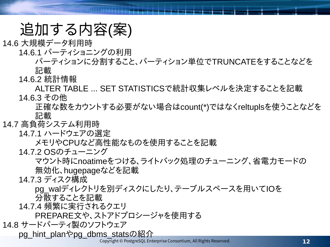### 追加する内容(案)

14.6 大規模データ利用時

14.6.1 パーティショニングの利用

パーティションに分割すること、パーティション単位でTRUNCATEをすることなどを 記載

14.6.2 統計情報

ALTER TABLE ... SET STATISTICSで統計収集レベルを決定することを記載 14.6.3 その他

正確な数をカウントする必要がない場合はcount(\*)ではなくreltuplsを使うことなどを 記載

#### 14.7 高負荷システム利用時

14.7.1 ハードウェアの選定

メモリやCPUなど高性能なものを使用することを記載

14.7.2 OSのチューニング

マウント時にnoatimeをつける、ライトバック処理のチューニング、省電力モードの 無効化、hugepageなどを記載

14.7.3 ディスク構成

pg\_walディレクトリを別ディスクにしたり、テーブルスペースを用いてIOを 分散することを記載

14.7.4 頻繁に実行されるクエリ

PREPARE文や、ストアドプロシージャを使用する

14.8 サードパーティ製のソフトウェア

pg\_hint\_planやpg\_dbms\_statsの紹介

Copyright © PostgreSQL Enterprise Consortium, All Rights Reserved.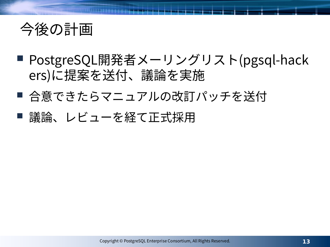

- PostgreSQL開発者メーリングリスト(pgsql-hack ers)に提案を送付、議論を実施
- 合意できたらマニュアルの改訂パッチを送付
- 議論、レビューを経て正式採用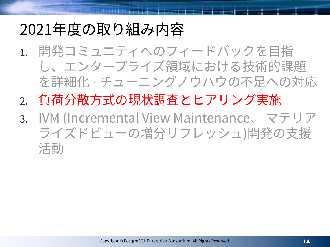## 2021年度の取り組み内容

- 1. 開発コミュニティへのフィードバックを目指 し、エンタープライズ領域における技術的課題 を詳細化 - チューニングノウハウの不足への対応
- 2. 負荷分散方式の現状調査とヒアリング実施
- 3. IVM (Incremental View Maintenance、 マテリア ライズドビューの増分リフレッシュ)開発の支援 活動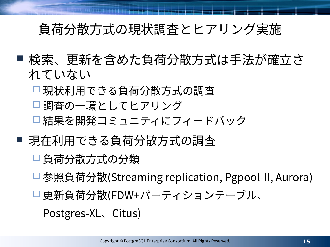#### 負荷分散方式の現状調査とヒアリング実施

- 検索、更新を含めた負荷分散方式は手法が確立さ れていない
	- □ 現状利用できる負荷分散方式の調査
	- □ 調査の一環としてヒアリング
	- □結果を開発コミュニティにフィードバック
- 現在利用できる負荷分散方式の調査
	- □ 負荷分散方式の分類
	- □参照負荷分散(Streaming replication, Pgpool-II, Aurora)
	- □更新負荷分散(FDW+パーティションテーブル、

Postgres-XL、Citus)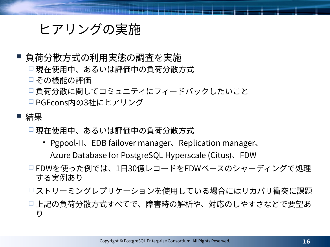#### ヒアリングの実施

#### ■ 負荷分散方式の利用実態の調査を実施

- □ 現在使用中、あるいは評価中の負荷分散方式
- □ その機能の評価
- □負荷分散に関してコミュニティにフィードバックしたいこと
- □ PGEcons内の3社にヒアリング

#### ■ 結果

- □ 現在使用中、あるいは評価中の負荷分散方式
	- Pgpool-II、EDB failover manager、Replication manager、 Azure Database for PostgreSQL Hyperscale (Citus)、FDW
- FDWを使った例では、1日30億レコードをFDWベースのシャーディングで処理 する実例あり
- ストリーミングレプリケーションを使用している場合にはリカバリ衝突に課題
- 上記の負荷分散方式すべてで、障害時の解析や、対応のしやすさなどで要望あ り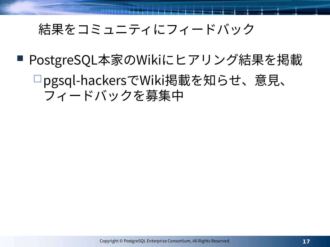#### 結果をコミュニティにフィードバック

■ PostgreSQL本家のWikiにヒアリング結果を掲載

#### pgsql-hackersでWiki掲載を知らせ、意見、 フィードバックを募集中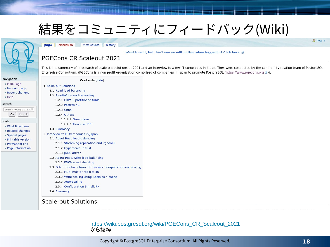#### 結果をコミュニティにフィードバック(Wiki)

#### page discussion view source history

#### Want to edit, but don't see an edit button when logged in? Click here. @

#### PGECons CR Scaleout 2021

This is the summary of a research of scale-out solutions at 2021 and an interview to a few IT companies in Japan. They were conducted by the community relation team of PostgreSQL Enterprise Consortium. (PGECons is a non profit organization comprised of companies in Japan to promote PostgreSQL (https://www.pgecons.org &)).

| avigation                                         | <b>Contents [hide]</b>                                         |
|---------------------------------------------------|----------------------------------------------------------------|
| Main Page<br>Random page<br>Recent changes        | 1 Scale-out Solutions<br>1.1 Read load-balancing               |
| H                                                 | 1.2 Read/Write load-balancing<br>1.2.1 FDW + partitioned table |
| earch                                             | 1.2.2 Postres-XL                                               |
| Search PostgreSQL wik                             | 1.2.3 Citus                                                    |
| Go<br>Search                                      | 1.2.4 Others                                                   |
| aols                                              | 1.2.4.1 Greenplum                                              |
| $\blacksquare$ What links here                    | 1.2.4.2 TimescaleDB<br>1.3 Summary                             |
| Related changes                                   | 2 Interview to IT Companies in Japan                           |
| Special pages<br>$\blacksquare$ Printable version | 2.1 About Read load-balancing                                  |
| <b>Permanent link</b>                             | 2.1.1 Streaming replication and Pgpool-II                      |
| <b>Page information</b>                           | 2.1.2 Hyperscale (Citus)                                       |
|                                                   | 2.1.3 JDBC driver                                              |
|                                                   | 2.2 About Read/Write load-balancing                            |
|                                                   | 2.2.1 FDW-based sharding                                       |
|                                                   | 2.3 Other feedback from interviewee companies about scali      |
|                                                   | 2.3.1 Multi-master replication                                 |
|                                                   | 2.3.2 Write scaling using Redis as a cache                     |
|                                                   | 2.3.3 Auto-scaling                                             |
|                                                   | 2.3.4 Configuration Simplicity                                 |
|                                                   | 2.4 Summary                                                    |

navig  $M$ 

 $R$  $H$ searc Sear

tools  $\blacksquare$  W  $R$ 

#### **Scale-out Solutions**

#### [https://wiki.postgresql.org/wiki/PGECons\\_CR\\_Scaleout\\_2021](https://wiki.postgresql.org/wiki/PGECons_CR_Scaleout_2021) から抜粋

٦à

Copyright © PostgreSQL Enterprise Consortium, All Rights Reserved.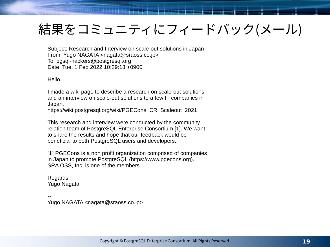### 結果をコミュニティにフィードバック(メール)

Subject: Research and Interview on scale-out solutions in Japan From: Yugo NAGATA <nagata@sraoss.co.jp> To: pgsql-hackers@postgresql.org Date: Tue, 1 Feb 2022 10:29:13 +0900

Hello,

I made a wiki page to describe a research on scale-out solutions and an interview on scale-out solutions to a few IT companies in Japan.

https://wiki.postgresql.org/wiki/PGECons\_CR\_Scaleout\_2021

This research and interview were conducted by the community relation team of PostgreSQL Enterprise Consortium [1]. We want to share the results and hope that our feedback would be beneficial to both PostgreSQL users and developers.

[1] PGECons is a non profit organization comprised of companies in Japan to promote PostgreSQL (https://www.pgecons.org). SRA OSS, Inc. is one of the members.

Regards, Yugo Nagata

-- Yugo NAGATA <nagata@sraoss.co.jp>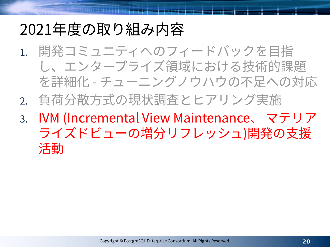## 2021年度の取り組み内容

- 1. 開発コミュニティへのフィードバックを目指 し、エンタープライズ領域における技術的課題 を詳細化 - チューニングノウハウの不足への対応
- 2. 負荷分散方式の現状調査とヒアリング実施
- 3. IVM (Incremental View Maintenance、 マテリア ライズドビューの増分リフレッシュ)開発の支援 活動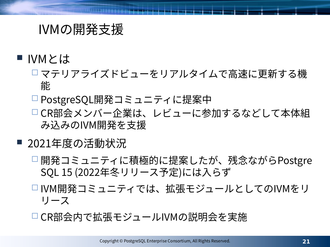#### IVMの開発支援

- IVMとは
	- マテリアライズドビューをリアルタイムで高速に更新する機 能
	- □ PostgreSQL開発コミュニティに提案中
	- CR部会メンバー企業は、レビューに参加するなどして本体組 み込みのIVM開発を支援
- 2021年度の活動状況
	- □開発コミュニティに積極的に提案したが、残念ながらPostgre SQL 15 (2022年冬リリース予定)には入らず
	- □ IVM開発コミュニティでは、拡張モジュールとしてのIVMをリ リース
	- CR部会内で拡張モジュールIVMの説明会を実施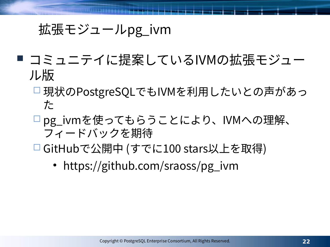#### 拡張モジュールpg\_ivm

- コミュニテイに提案しているIVMの拡張モジュー ル版
	- □ 現状のPostgreSQLでもIVMを利用したいとの声があっ た
	- pg\_ivmを使ってもらうことにより、IVMへの理解、 フィードバックを期待
	- GitHubで公開中 (すでに100 stars以上を取得)
		- https://github.com/sraoss/pg\_ivm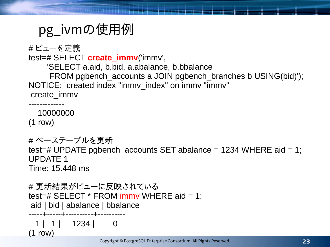### pg\_ivmの使用例

 $(1$  row)

```
# ビューを定義
test=# SELECT create_immv('immv',
     'SELECT a.aid, b.bid, a.abalance, b.bbalance
     FROM pgbench accounts a JOIN pgbench_branches b USING(bid)');
NOTICE: created index "immv_index" on immv "immv"
create_immv 
-------------
   10000000
(1 row)
# ベーステーブルを更新
test=# UPDATE pgbench_accounts SET abalance = 1234 WHERE aid = 1;
UPDATE 1
Time: 15.448 ms
# 更新結果がビューに反映されている
test=# SELECT * FROM immv WHERE aid = 1;
aid | bid | abalance | bbalance 
-----+-----+----------+----------
 1 | 1234 | 0
```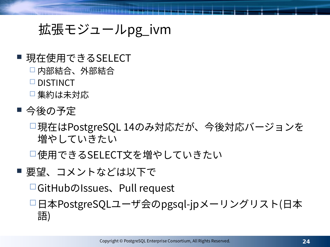#### 拡張モジュールpg\_ivm

#### ■ 現在使用できるSELECT

- 内部結合、外部結合
- □ DISTINCT
- □ 集約は未対応
- 今後の予定
	- 現在はPostgreSQL 14のみ対応だが、今後対応バージョンを 増やしていきたい

使用できるSELECT文を増やしていきたい

■ 要望、コメントなどは以下で

GitHubのIssues、Pull request

日本PostgreSQLユーザ会のpgsql-jpメーリングリスト(日本 語)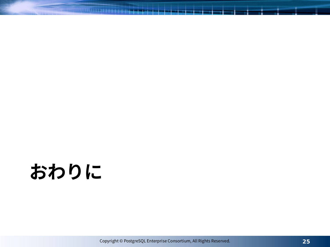# **おわりに**

Copyright © PostgreSQL Enterprise Consortium, All Rights Reserved.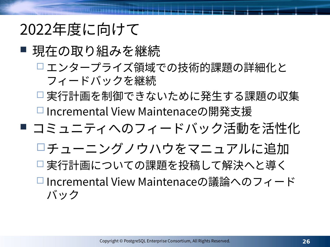## 2022年度に向けて

- 現在の取り組みを継続
	- □エンタープライズ領域での技術的課題の詳細化と フィードバックを継続
	- □ 実行計画を制御できないために発生する課題の収集
	- Incremental View Maintenaceの開発支援
- コミュニティへのフィードバック活動を活性化
	- チューニングノウハウをマニュアルに追加
	- □実行計画についての課題を投稿して解決へと導く
	- □ Incremental View Maintenaceの議論へのフィード バック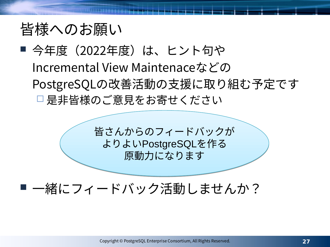#### 皆様へのお願い

#### ■ 今年度 (2022年度) は、 ヒント句や Incremental View Maintenaceなどの PostgreSQLの改善活動の支援に取り組む予定です □是非皆様のご意見をお寄せください

皆さんからのフィードバックが 皆さんからのフィードバックが よりよいPostgreSQLを作る よりよいPostgreSQLを作る 原動力になります 原動力になります

#### ■ 一緒にフィードバック活動しませんか?